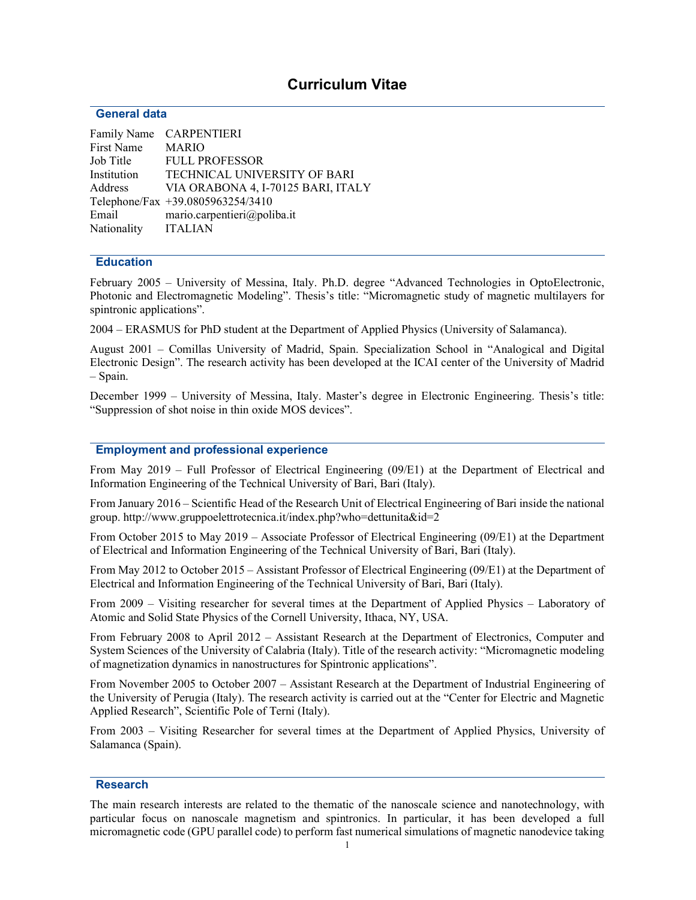# Curriculum Vitae

#### General data

|                     | Family Name CARPENTIERI             |
|---------------------|-------------------------------------|
| First Name          | <b>MARIO</b>                        |
| Job Title           | <b>FULL PROFESSOR</b>               |
| Institution         | <b>TECHNICAL UNIVERSITY OF BARI</b> |
| Address             | VIA ORABONA 4, I-70125 BARI, ITALY  |
|                     | Telephone/Fax +39.0805963254/3410   |
| Email               | mario.carpentieri@poliba.it         |
| Nationality ITALIAN |                                     |

#### **Education**

February 2005 – University of Messina, Italy. Ph.D. degree "Advanced Technologies in OptoElectronic, Photonic and Electromagnetic Modeling". Thesis's title: "Micromagnetic study of magnetic multilayers for spintronic applications".

2004 – ERASMUS for PhD student at the Department of Applied Physics (University of Salamanca).

August 2001 – Comillas University of Madrid, Spain. Specialization School in "Analogical and Digital Electronic Design". The research activity has been developed at the ICAI center of the University of Madrid – Spain.

December 1999 – University of Messina, Italy. Master's degree in Electronic Engineering. Thesis's title: "Suppression of shot noise in thin oxide MOS devices".

## Employment and professional experience

From May 2019 – Full Professor of Electrical Engineering (09/E1) at the Department of Electrical and Information Engineering of the Technical University of Bari, Bari (Italy).

From January 2016 – Scientific Head of the Research Unit of Electrical Engineering of Bari inside the national group. http://www.gruppoelettrotecnica.it/index.php?who=dettunita&id=2

From October 2015 to May 2019 – Associate Professor of Electrical Engineering (09/E1) at the Department of Electrical and Information Engineering of the Technical University of Bari, Bari (Italy).

From May 2012 to October 2015 – Assistant Professor of Electrical Engineering (09/E1) at the Department of Electrical and Information Engineering of the Technical University of Bari, Bari (Italy).

From 2009 – Visiting researcher for several times at the Department of Applied Physics – Laboratory of Atomic and Solid State Physics of the Cornell University, Ithaca, NY, USA.

From February 2008 to April 2012 – Assistant Research at the Department of Electronics, Computer and System Sciences of the University of Calabria (Italy). Title of the research activity: "Micromagnetic modeling of magnetization dynamics in nanostructures for Spintronic applications".

From November 2005 to October 2007 – Assistant Research at the Department of Industrial Engineering of the University of Perugia (Italy). The research activity is carried out at the "Center for Electric and Magnetic Applied Research", Scientific Pole of Terni (Italy).

From 2003 – Visiting Researcher for several times at the Department of Applied Physics, University of Salamanca (Spain).

#### Research

The main research interests are related to the thematic of the nanoscale science and nanotechnology, with particular focus on nanoscale magnetism and spintronics. In particular, it has been developed a full micromagnetic code (GPU parallel code) to perform fast numerical simulations of magnetic nanodevice taking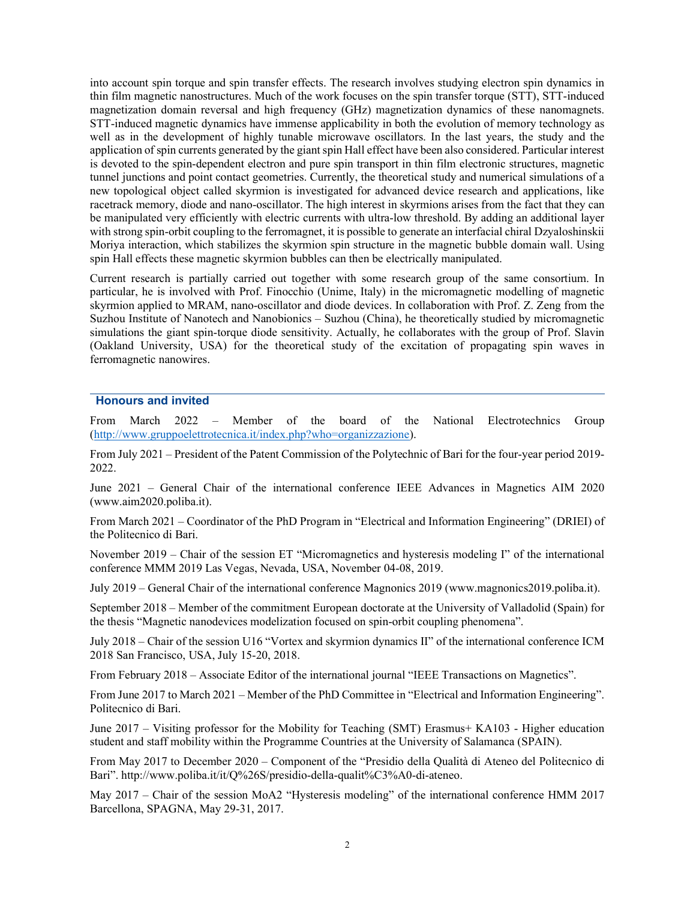into account spin torque and spin transfer effects. The research involves studying electron spin dynamics in thin film magnetic nanostructures. Much of the work focuses on the spin transfer torque (STT), STT-induced magnetization domain reversal and high frequency (GHz) magnetization dynamics of these nanomagnets. STT-induced magnetic dynamics have immense applicability in both the evolution of memory technology as well as in the development of highly tunable microwave oscillators. In the last years, the study and the application of spin currents generated by the giant spin Hall effect have been also considered. Particular interest is devoted to the spin-dependent electron and pure spin transport in thin film electronic structures, magnetic tunnel junctions and point contact geometries. Currently, the theoretical study and numerical simulations of a new topological object called skyrmion is investigated for advanced device research and applications, like racetrack memory, diode and nano-oscillator. The high interest in skyrmions arises from the fact that they can be manipulated very efficiently with electric currents with ultra-low threshold. By adding an additional layer with strong spin-orbit coupling to the ferromagnet, it is possible to generate an interfacial chiral Dzyaloshinskii Moriya interaction, which stabilizes the skyrmion spin structure in the magnetic bubble domain wall. Using spin Hall effects these magnetic skyrmion bubbles can then be electrically manipulated.

Current research is partially carried out together with some research group of the same consortium. In particular, he is involved with Prof. Finocchio (Unime, Italy) in the micromagnetic modelling of magnetic skyrmion applied to MRAM, nano-oscillator and diode devices. In collaboration with Prof. Z. Zeng from the Suzhou Institute of Nanotech and Nanobionics – Suzhou (China), he theoretically studied by micromagnetic simulations the giant spin-torque diode sensitivity. Actually, he collaborates with the group of Prof. Slavin (Oakland University, USA) for the theoretical study of the excitation of propagating spin waves in ferromagnetic nanowires.

# Honours and invited

From March 2022 – Member of the board of the National Electrotechnics Group (http://www.gruppoelettrotecnica.it/index.php?who=organizzazione).

From July 2021 – President of the Patent Commission of the Polytechnic of Bari for the four-year period 2019- 2022.

June 2021 – General Chair of the international conference IEEE Advances in Magnetics AIM 2020 (www.aim2020.poliba.it).

From March 2021 – Coordinator of the PhD Program in "Electrical and Information Engineering" (DRIEI) of the Politecnico di Bari.

November 2019 – Chair of the session ET "Micromagnetics and hysteresis modeling I" of the international conference MMM 2019 Las Vegas, Nevada, USA, November 04-08, 2019.

July 2019 – General Chair of the international conference Magnonics 2019 (www.magnonics2019.poliba.it).

September 2018 – Member of the commitment European doctorate at the University of Valladolid (Spain) for the thesis "Magnetic nanodevices modelization focused on spin-orbit coupling phenomena".

July 2018 – Chair of the session U16 "Vortex and skyrmion dynamics II" of the international conference ICM 2018 San Francisco, USA, July 15-20, 2018.

From February 2018 – Associate Editor of the international journal "IEEE Transactions on Magnetics".

From June 2017 to March 2021 – Member of the PhD Committee in "Electrical and Information Engineering". Politecnico di Bari.

June 2017 – Visiting professor for the Mobility for Teaching (SMT) Erasmus+ KA103 - Higher education student and staff mobility within the Programme Countries at the University of Salamanca (SPAIN).

From May 2017 to December 2020 – Component of the "Presidio della Qualità di Ateneo del Politecnico di Bari". http://www.poliba.it/it/Q%26S/presidio-della-qualit%C3%A0-di-ateneo.

May 2017 – Chair of the session MoA2 "Hysteresis modeling" of the international conference HMM 2017 Barcellona, SPAGNA, May 29-31, 2017.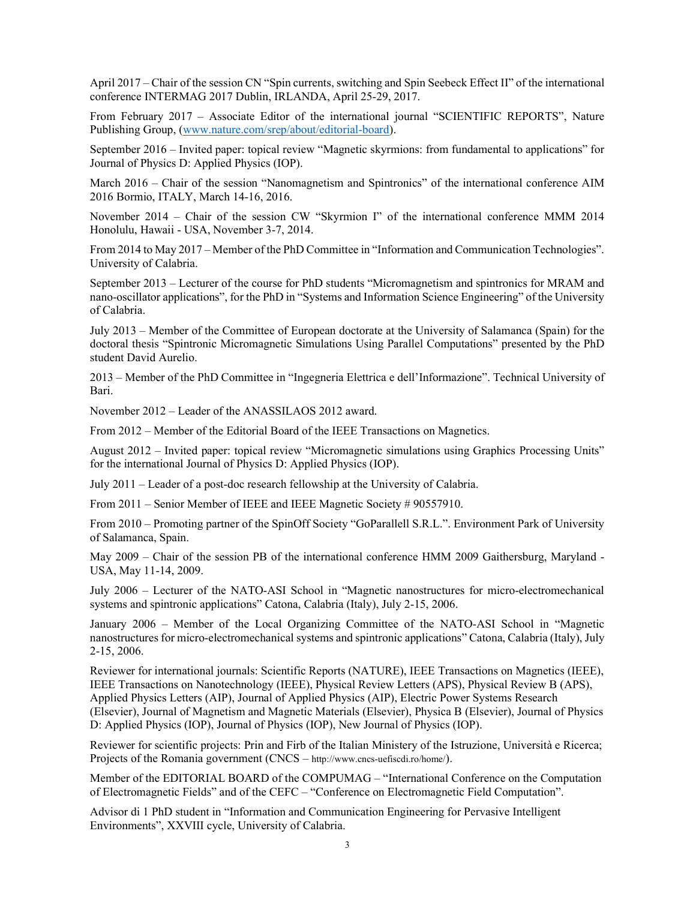April 2017 – Chair of the session CN "Spin currents, switching and Spin Seebeck Effect II" of the international conference INTERMAG 2017 Dublin, IRLANDA, April 25-29, 2017.

From February 2017 – Associate Editor of the international journal "SCIENTIFIC REPORTS", Nature Publishing Group, (www.nature.com/srep/about/editorial-board).

September 2016 – Invited paper: topical review "Magnetic skyrmions: from fundamental to applications" for Journal of Physics D: Applied Physics (IOP).

March 2016 – Chair of the session "Nanomagnetism and Spintronics" of the international conference AIM 2016 Bormio, ITALY, March 14-16, 2016.

November 2014 – Chair of the session CW "Skyrmion I" of the international conference MMM 2014 Honolulu, Hawaii - USA, November 3-7, 2014.

From 2014 to May 2017 – Member of the PhD Committee in "Information and Communication Technologies". University of Calabria.

September 2013 – Lecturer of the course for PhD students "Micromagnetism and spintronics for MRAM and nano-oscillator applications", for the PhD in "Systems and Information Science Engineering" of the University of Calabria.

July 2013 – Member of the Committee of European doctorate at the University of Salamanca (Spain) for the doctoral thesis "Spintronic Micromagnetic Simulations Using Parallel Computations" presented by the PhD student David Aurelio.

2013 – Member of the PhD Committee in "Ingegneria Elettrica e dell'Informazione". Technical University of Bari.

November 2012 – Leader of the ANASSILAOS 2012 award.

From 2012 – Member of the Editorial Board of the IEEE Transactions on Magnetics.

August 2012 – Invited paper: topical review "Micromagnetic simulations using Graphics Processing Units" for the international Journal of Physics D: Applied Physics (IOP).

July 2011 – Leader of a post-doc research fellowship at the University of Calabria.

From 2011 – Senior Member of IEEE and IEEE Magnetic Society # 90557910.

From 2010 – Promoting partner of the SpinOff Society "GoParallell S.R.L.". Environment Park of University of Salamanca, Spain.

May 2009 – Chair of the session PB of the international conference HMM 2009 Gaithersburg, Maryland - USA, May 11-14, 2009.

July 2006 – Lecturer of the NATO-ASI School in "Magnetic nanostructures for micro-electromechanical systems and spintronic applications" Catona, Calabria (Italy), July 2-15, 2006.

January 2006 – Member of the Local Organizing Committee of the NATO-ASI School in "Magnetic nanostructures for micro-electromechanical systems and spintronic applications" Catona, Calabria (Italy), July 2-15, 2006.

Reviewer for international journals: Scientific Reports (NATURE), IEEE Transactions on Magnetics (IEEE), IEEE Transactions on Nanotechnology (IEEE), Physical Review Letters (APS), Physical Review B (APS), Applied Physics Letters (AIP), Journal of Applied Physics (AIP), Electric Power Systems Research (Elsevier), Journal of Magnetism and Magnetic Materials (Elsevier), Physica B (Elsevier), Journal of Physics D: Applied Physics (IOP), Journal of Physics (IOP), New Journal of Physics (IOP).

Reviewer for scientific projects: Prin and Firb of the Italian Ministery of the Istruzione, Università e Ricerca; Projects of the Romania government (CNCS – http://www.cncs-uefiscdi.ro/home/).

Member of the EDITORIAL BOARD of the COMPUMAG – "International Conference on the Computation of Electromagnetic Fields" and of the CEFC – "Conference on Electromagnetic Field Computation".

Advisor di 1 PhD student in "Information and Communication Engineering for Pervasive Intelligent Environments", XXVIII cycle, University of Calabria.